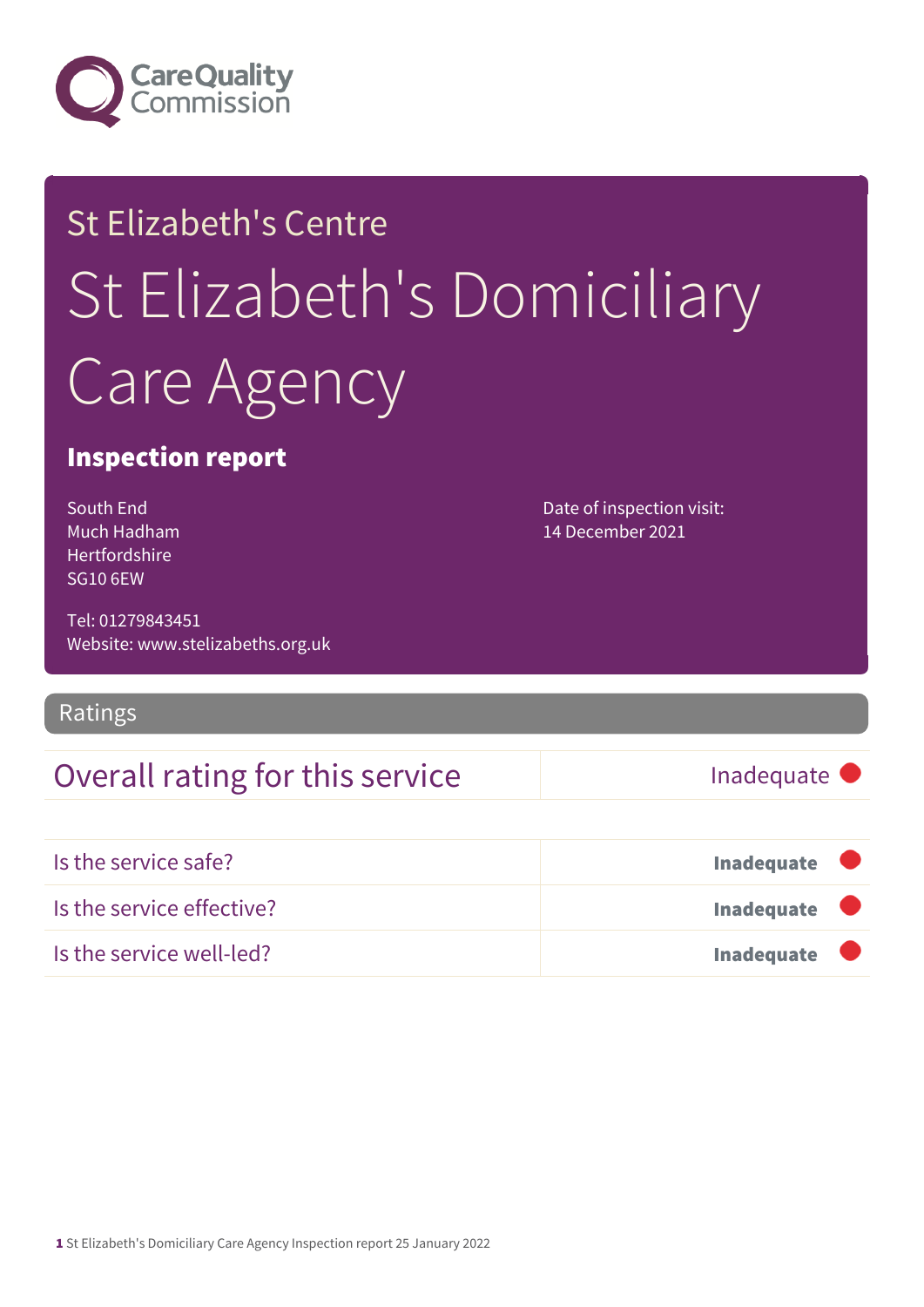

# St Elizabeth's Centre St Elizabeth's Domiciliary Care Agency

### Inspection report

South End Much Hadham Hertfordshire SG10 6EW

Tel: 01279843451 Website: www.stelizabeths.org.uk

### Ratings

### Overall rating for this service Inadequate

Date of inspection visit: 14 December 2021

| Is the service safe?      | Inadequate                |
|---------------------------|---------------------------|
| Is the service effective? | Inadequate $\blacksquare$ |
| Is the service well-led?  | Inadequate $\blacksquare$ |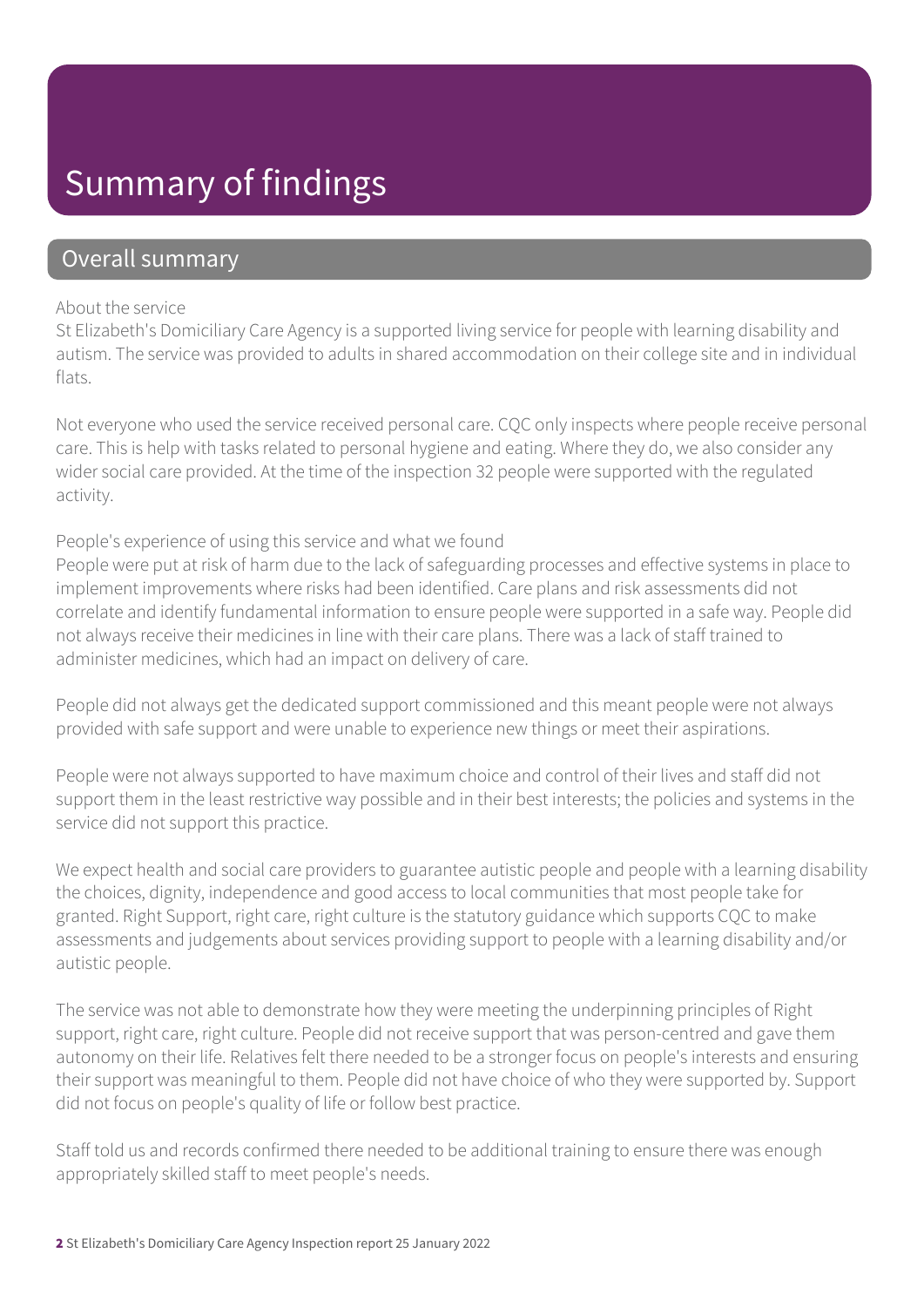## Summary of findings

### Overall summary

#### About the service

St Elizabeth's Domiciliary Care Agency is a supported living service for people with learning disability and autism. The service was provided to adults in shared accommodation on their college site and in individual flats.

Not everyone who used the service received personal care. CQC only inspects where people receive personal care. This is help with tasks related to personal hygiene and eating. Where they do, we also consider any wider social care provided. At the time of the inspection 32 people were supported with the regulated activity.

#### People's experience of using this service and what we found

People were put at risk of harm due to the lack of safeguarding processes and effective systems in place to implement improvements where risks had been identified. Care plans and risk assessments did not correlate and identify fundamental information to ensure people were supported in a safe way. People did not always receive their medicines in line with their care plans. There was a lack of staff trained to administer medicines, which had an impact on delivery of care.

People did not always get the dedicated support commissioned and this meant people were not always provided with safe support and were unable to experience new things or meet their aspirations.

People were not always supported to have maximum choice and control of their lives and staff did not support them in the least restrictive way possible and in their best interests; the policies and systems in the service did not support this practice.

We expect health and social care providers to guarantee autistic people and people with a learning disability the choices, dignity, independence and good access to local communities that most people take for granted. Right Support, right care, right culture is the statutory guidance which supports CQC to make assessments and judgements about services providing support to people with a learning disability and/or autistic people.

The service was not able to demonstrate how they were meeting the underpinning principles of Right support, right care, right culture. People did not receive support that was person-centred and gave them autonomy on their life. Relatives felt there needed to be a stronger focus on people's interests and ensuring their support was meaningful to them. People did not have choice of who they were supported by. Support did not focus on people's quality of life or follow best practice.

Staff told us and records confirmed there needed to be additional training to ensure there was enough appropriately skilled staff to meet people's needs.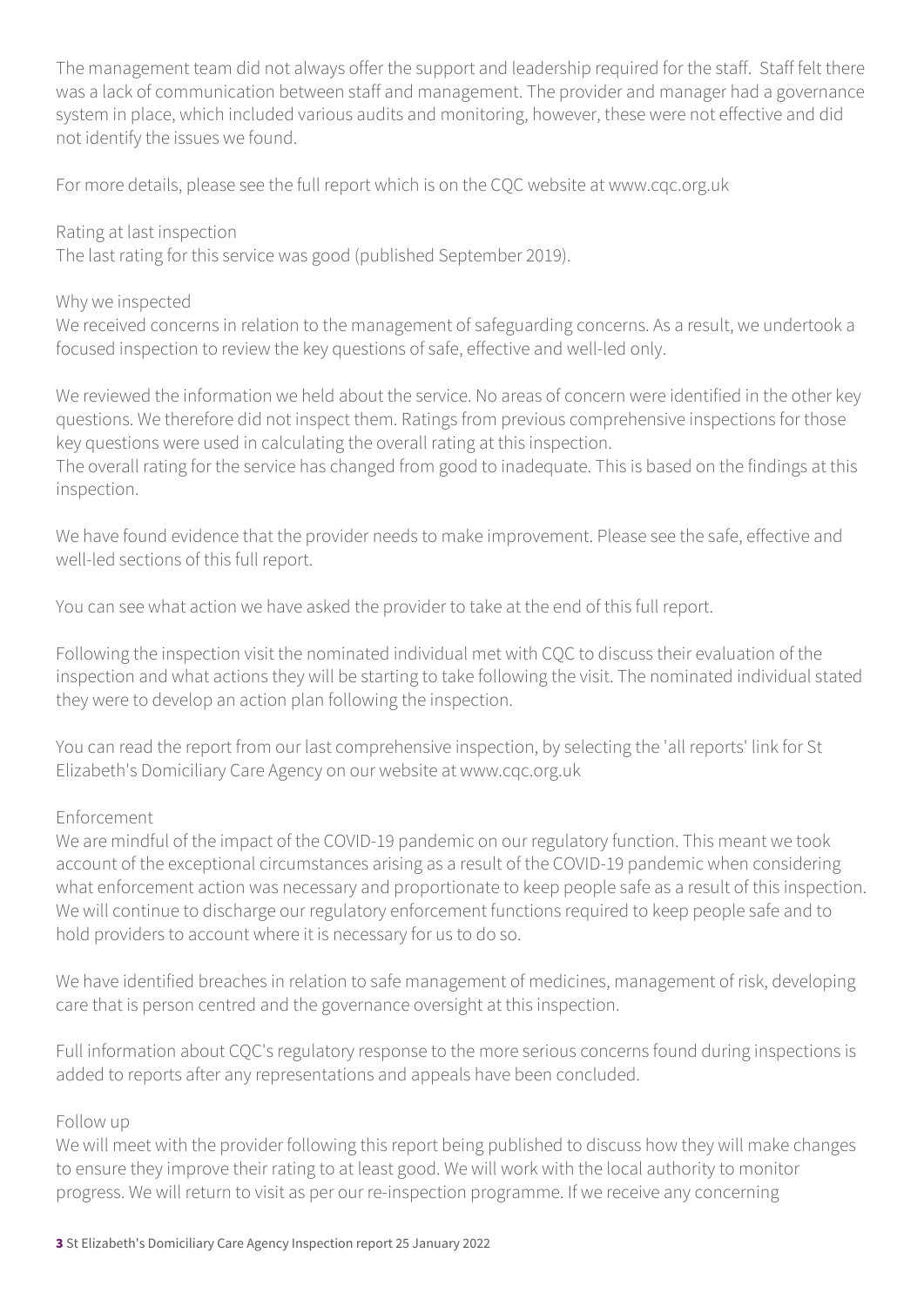The management team did not always offer the support and leadership required for the staff. Staff felt there was a lack of communication between staff and management. The provider and manager had a governance system in place, which included various audits and monitoring, however, these were not effective and did not identify the issues we found.

For more details, please see the full report which is on the CQC website at www.cqc.org.uk

Rating at last inspection

The last rating for this service was good (published September 2019).

#### Why we inspected

We received concerns in relation to the management of safeguarding concerns. As a result, we undertook a focused inspection to review the key questions of safe, effective and well-led only.

We reviewed the information we held about the service. No areas of concern were identified in the other key questions. We therefore did not inspect them. Ratings from previous comprehensive inspections for those key questions were used in calculating the overall rating at this inspection.

The overall rating for the service has changed from good to inadequate. This is based on the findings at this inspection.

We have found evidence that the provider needs to make improvement. Please see the safe, effective and well-led sections of this full report.

You can see what action we have asked the provider to take at the end of this full report.

Following the inspection visit the nominated individual met with CQC to discuss their evaluation of the inspection and what actions they will be starting to take following the visit. The nominated individual stated they were to develop an action plan following the inspection.

You can read the report from our last comprehensive inspection, by selecting the 'all reports' link for St Elizabeth's Domiciliary Care Agency on our website at www.cqc.org.uk

#### Enforcement

We are mindful of the impact of the COVID-19 pandemic on our regulatory function. This meant we took account of the exceptional circumstances arising as a result of the COVID-19 pandemic when considering what enforcement action was necessary and proportionate to keep people safe as a result of this inspection. We will continue to discharge our regulatory enforcement functions required to keep people safe and to hold providers to account where it is necessary for us to do so.

We have identified breaches in relation to safe management of medicines, management of risk, developing care that is person centred and the governance oversight at this inspection.

Full information about CQC's regulatory response to the more serious concerns found during inspections is added to reports after any representations and appeals have been concluded.

#### Follow up

We will meet with the provider following this report being published to discuss how they will make changes to ensure they improve their rating to at least good. We will work with the local authority to monitor progress. We will return to visit as per our re-inspection programme. If we receive any concerning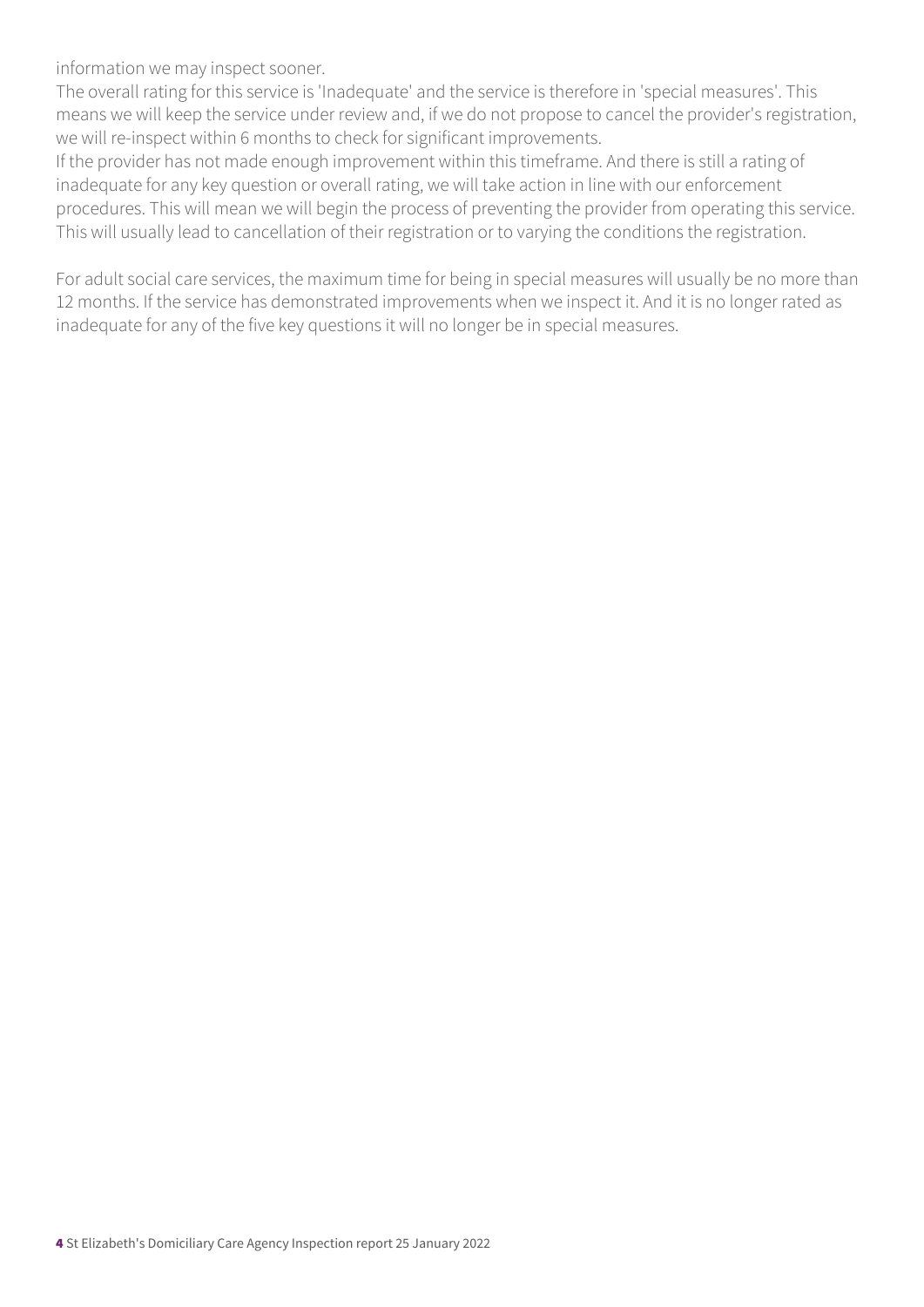information we may inspect sooner.

The overall rating for this service is 'Inadequate' and the service is therefore in 'special measures'. This means we will keep the service under review and, if we do not propose to cancel the provider's registration, we will re-inspect within 6 months to check for significant improvements.

If the provider has not made enough improvement within this timeframe. And there is still a rating of inadequate for any key question or overall rating, we will take action in line with our enforcement procedures. This will mean we will begin the process of preventing the provider from operating this service. This will usually lead to cancellation of their registration or to varying the conditions the registration.

For adult social care services, the maximum time for being in special measures will usually be no more than 12 months. If the service has demonstrated improvements when we inspect it. And it is no longer rated as inadequate for any of the five key questions it will no longer be in special measures.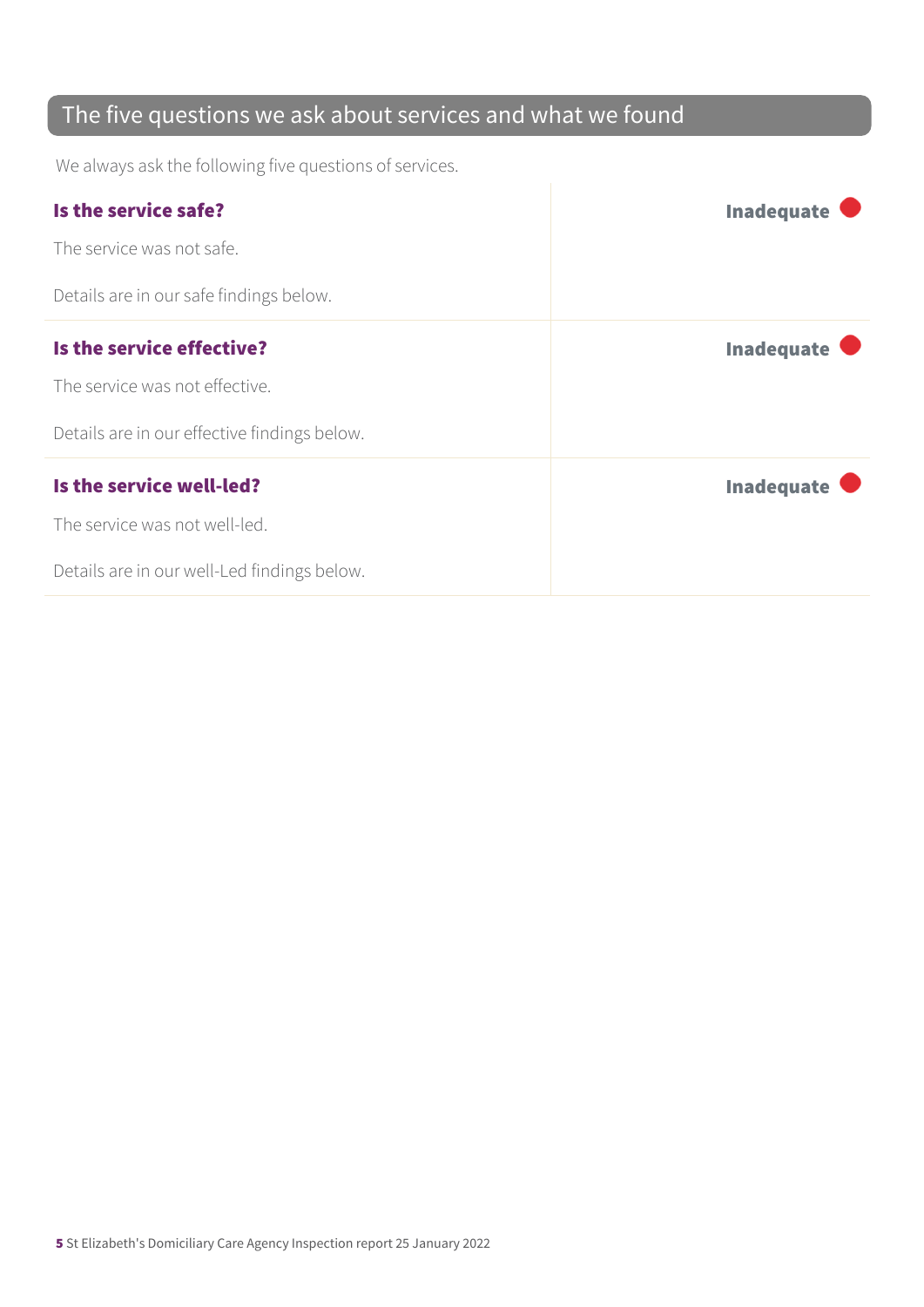### The five questions we ask about services and what we found

We always ask the following five questions of services.

| Is the service safe?                         | <b>Inadequate</b> |
|----------------------------------------------|-------------------|
| The service was not safe.                    |                   |
| Details are in our safe findings below.      |                   |
| Is the service effective?                    | <b>Inadequate</b> |
| The service was not effective.               |                   |
| Details are in our effective findings below. |                   |
| Is the service well-led?                     | <b>Inadequate</b> |
| The service was not well-led.                |                   |
| Details are in our well-Led findings below.  |                   |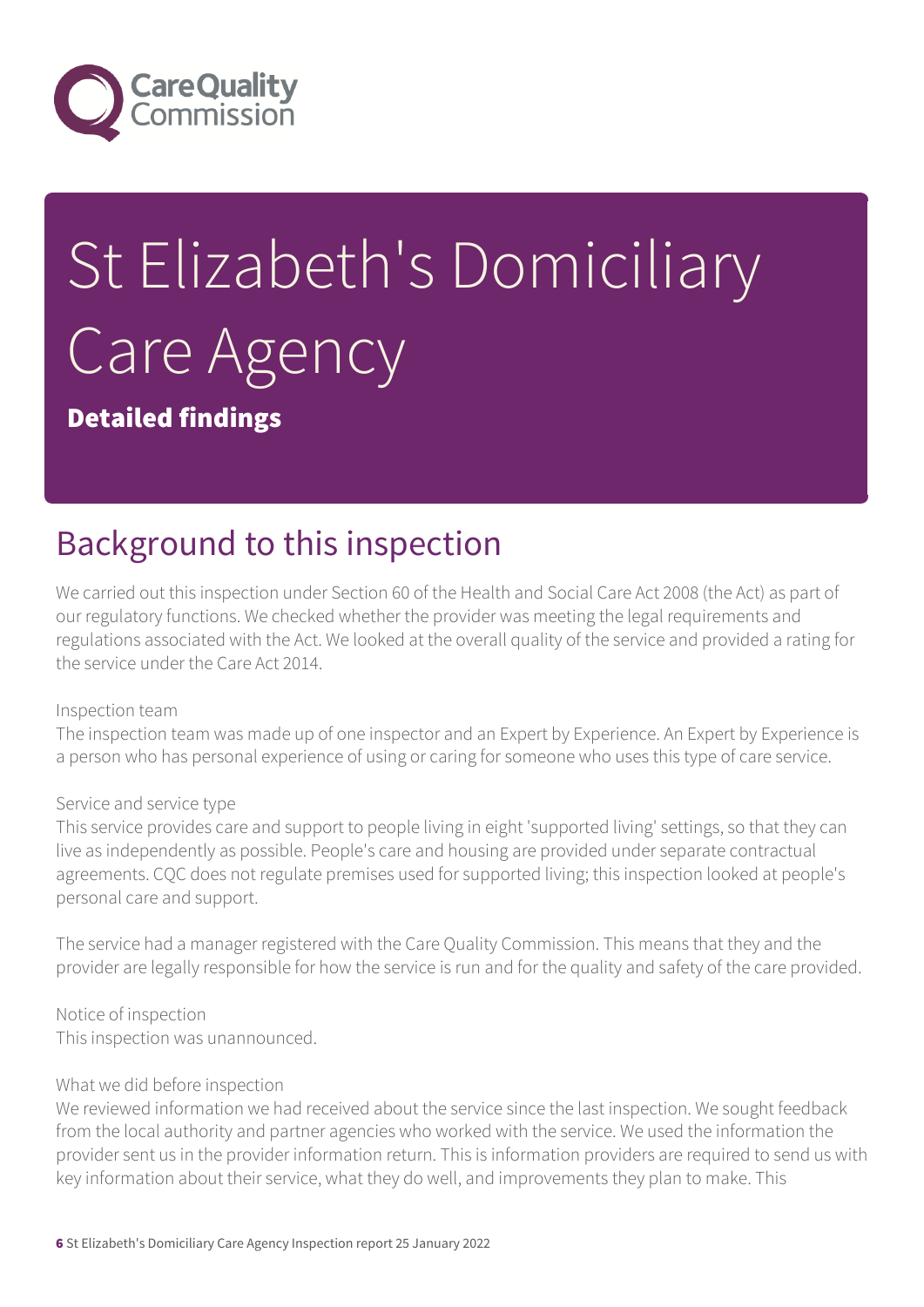

# St Elizabeth's Domiciliary Care Agency

Detailed findings

# Background to this inspection

We carried out this inspection under Section 60 of the Health and Social Care Act 2008 (the Act) as part of our regulatory functions. We checked whether the provider was meeting the legal requirements and regulations associated with the Act. We looked at the overall quality of the service and provided a rating for the service under the Care Act 2014.

#### Inspection team

The inspection team was made up of one inspector and an Expert by Experience. An Expert by Experience is a person who has personal experience of using or caring for someone who uses this type of care service.

#### Service and service type

This service provides care and support to people living in eight 'supported living' settings, so that they can live as independently as possible. People's care and housing are provided under separate contractual agreements. CQC does not regulate premises used for supported living; this inspection looked at people's personal care and support.

The service had a manager registered with the Care Quality Commission. This means that they and the provider are legally responsible for how the service is run and for the quality and safety of the care provided.

Notice of inspection This inspection was unannounced.

#### What we did before inspection

We reviewed information we had received about the service since the last inspection. We sought feedback from the local authority and partner agencies who worked with the service. We used the information the provider sent us in the provider information return. This is information providers are required to send us with key information about their service, what they do well, and improvements they plan to make. This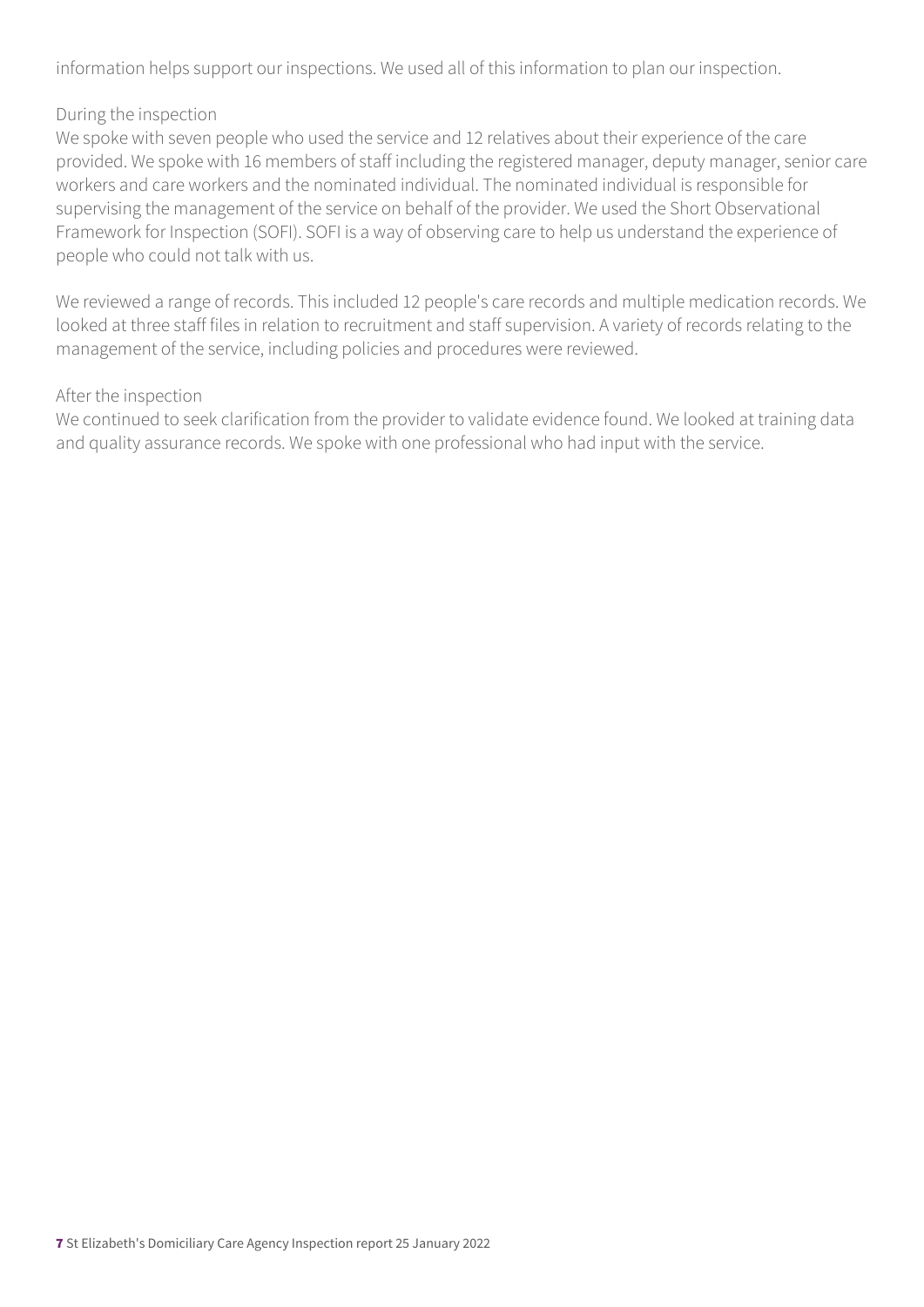information helps support our inspections. We used all of this information to plan our inspection.

#### During the inspection

We spoke with seven people who used the service and 12 relatives about their experience of the care provided. We spoke with 16 members of staff including the registered manager, deputy manager, senior care workers and care workers and the nominated individual. The nominated individual is responsible for supervising the management of the service on behalf of the provider. We used the Short Observational Framework for Inspection (SOFI). SOFI is a way of observing care to help us understand the experience of people who could not talk with us.

We reviewed a range of records. This included 12 people's care records and multiple medication records. We looked at three staff files in relation to recruitment and staff supervision. A variety of records relating to the management of the service, including policies and procedures were reviewed.

#### After the inspection

We continued to seek clarification from the provider to validate evidence found. We looked at training data and quality assurance records. We spoke with one professional who had input with the service.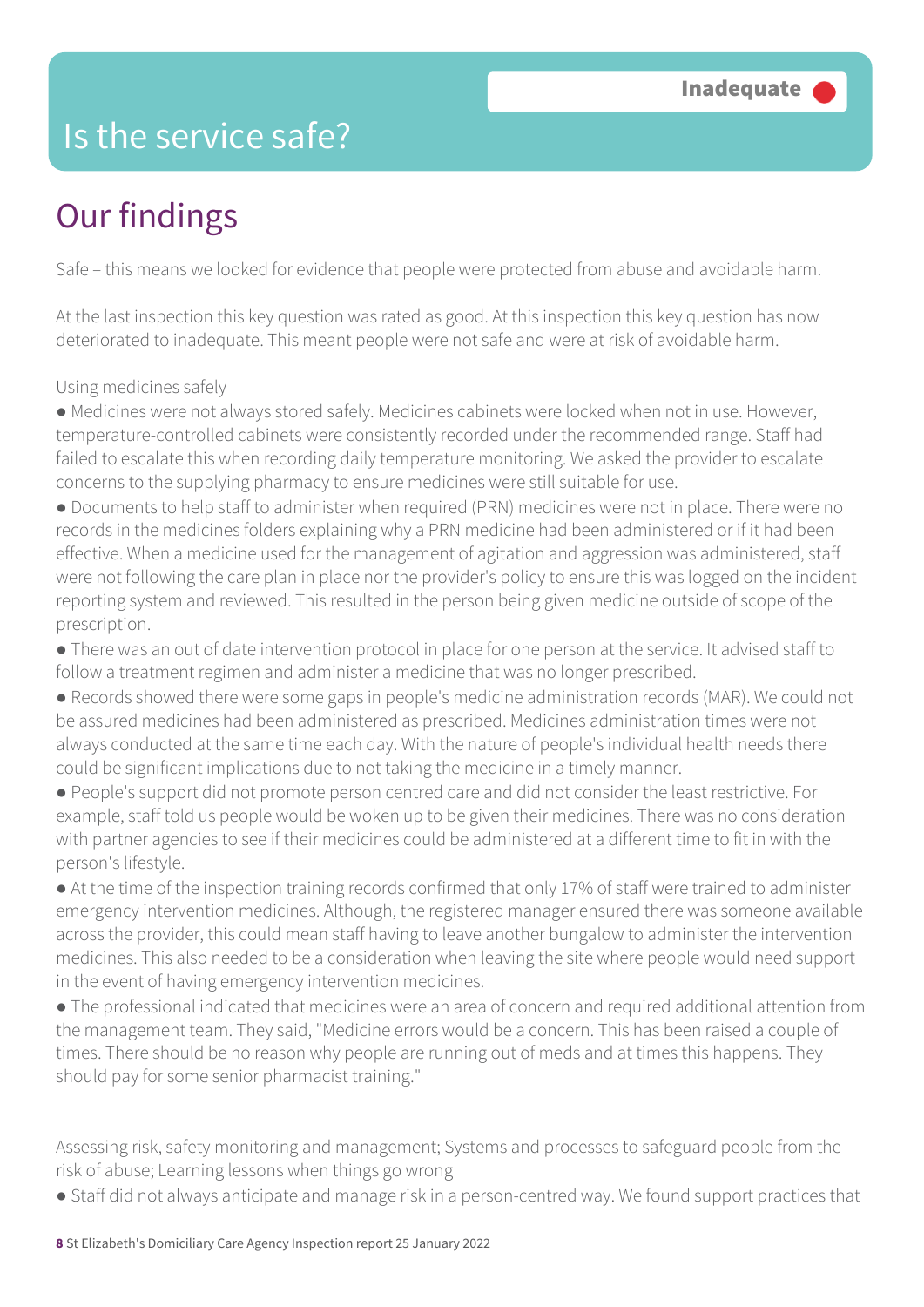## Is the service safe?

# Our findings

Safe – this means we looked for evidence that people were protected from abuse and avoidable harm.

At the last inspection this key question was rated as good. At this inspection this key question has now deteriorated to inadequate. This meant people were not safe and were at risk of avoidable harm.

Using medicines safely

● Medicines were not always stored safely. Medicines cabinets were locked when not in use. However, temperature-controlled cabinets were consistently recorded under the recommended range. Staff had failed to escalate this when recording daily temperature monitoring. We asked the provider to escalate concerns to the supplying pharmacy to ensure medicines were still suitable for use.

● Documents to help staff to administer when required (PRN) medicines were not in place. There were no records in the medicines folders explaining why a PRN medicine had been administered or if it had been effective. When a medicine used for the management of agitation and aggression was administered, staff were not following the care plan in place nor the provider's policy to ensure this was logged on the incident reporting system and reviewed. This resulted in the person being given medicine outside of scope of the prescription.

● There was an out of date intervention protocol in place for one person at the service. It advised staff to follow a treatment regimen and administer a medicine that was no longer prescribed.

● Records showed there were some gaps in people's medicine administration records (MAR). We could not be assured medicines had been administered as prescribed. Medicines administration times were not always conducted at the same time each day. With the nature of people's individual health needs there could be significant implications due to not taking the medicine in a timely manner.

● People's support did not promote person centred care and did not consider the least restrictive. For example, staff told us people would be woken up to be given their medicines. There was no consideration with partner agencies to see if their medicines could be administered at a different time to fit in with the person's lifestyle.

● At the time of the inspection training records confirmed that only 17% of staff were trained to administer emergency intervention medicines. Although, the registered manager ensured there was someone available across the provider, this could mean staff having to leave another bungalow to administer the intervention medicines. This also needed to be a consideration when leaving the site where people would need support in the event of having emergency intervention medicines.

● The professional indicated that medicines were an area of concern and required additional attention from the management team. They said, "Medicine errors would be a concern. This has been raised a couple of times. There should be no reason why people are running out of meds and at times this happens. They should pay for some senior pharmacist training."

Assessing risk, safety monitoring and management; Systems and processes to safeguard people from the risk of abuse; Learning lessons when things go wrong

● Staff did not always anticipate and manage risk in a person-centred way. We found support practices that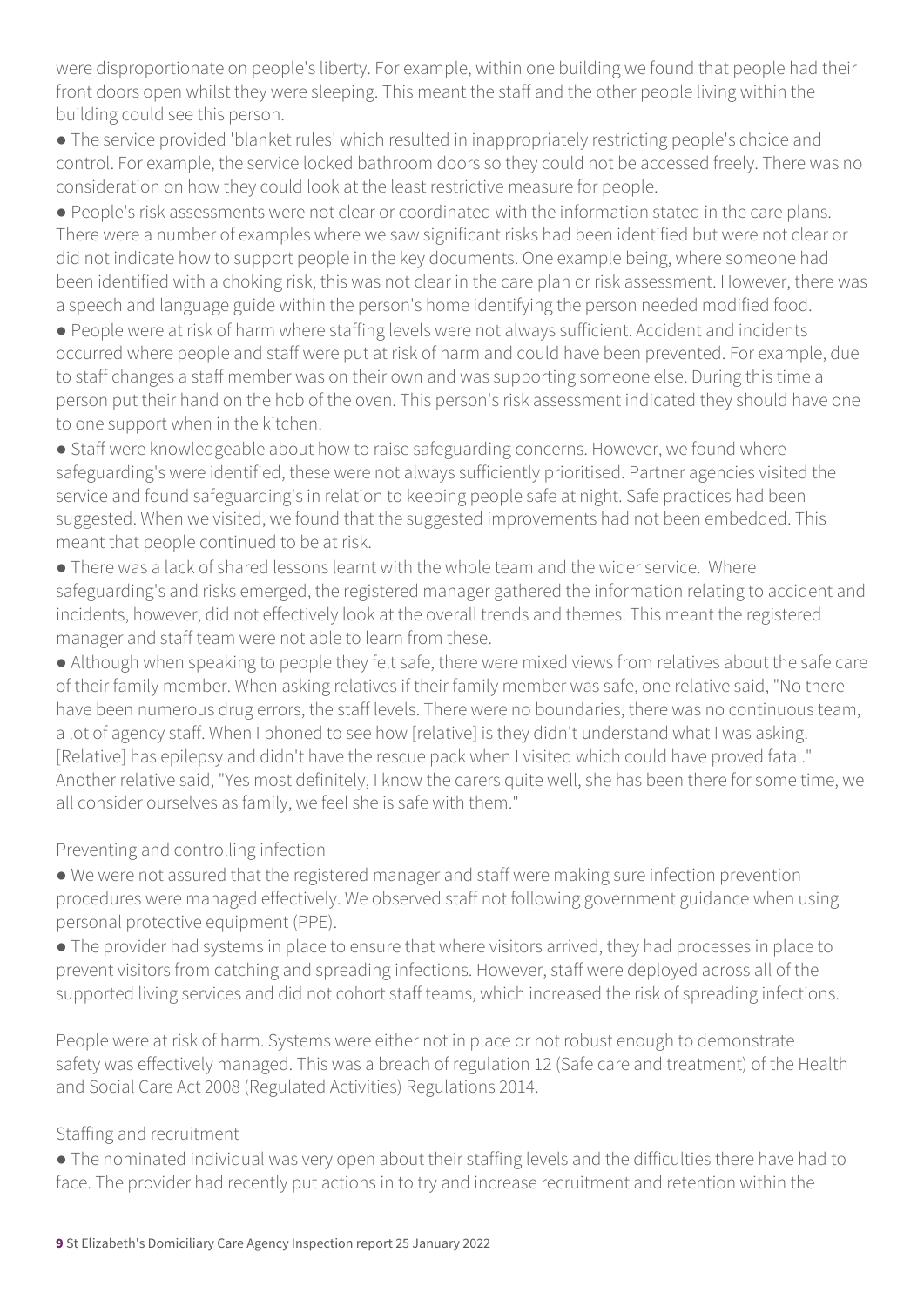were disproportionate on people's liberty. For example, within one building we found that people had their front doors open whilst they were sleeping. This meant the staff and the other people living within the building could see this person.

● The service provided 'blanket rules' which resulted in inappropriately restricting people's choice and control. For example, the service locked bathroom doors so they could not be accessed freely. There was no consideration on how they could look at the least restrictive measure for people.

● People's risk assessments were not clear or coordinated with the information stated in the care plans. There were a number of examples where we saw significant risks had been identified but were not clear or did not indicate how to support people in the key documents. One example being, where someone had been identified with a choking risk, this was not clear in the care plan or risk assessment. However, there was a speech and language guide within the person's home identifying the person needed modified food.

● People were at risk of harm where staffing levels were not always sufficient. Accident and incidents occurred where people and staff were put at risk of harm and could have been prevented. For example, due to staff changes a staff member was on their own and was supporting someone else. During this time a person put their hand on the hob of the oven. This person's risk assessment indicated they should have one to one support when in the kitchen.

• Staff were knowledgeable about how to raise safeguarding concerns. However, we found where safeguarding's were identified, these were not always sufficiently prioritised. Partner agencies visited the service and found safeguarding's in relation to keeping people safe at night. Safe practices had been suggested. When we visited, we found that the suggested improvements had not been embedded. This meant that people continued to be at risk.

● There was a lack of shared lessons learnt with the whole team and the wider service. Where safeguarding's and risks emerged, the registered manager gathered the information relating to accident and incidents, however, did not effectively look at the overall trends and themes. This meant the registered manager and staff team were not able to learn from these.

● Although when speaking to people they felt safe, there were mixed views from relatives about the safe care of their family member. When asking relatives if their family member was safe, one relative said, "No there have been numerous drug errors, the staff levels. There were no boundaries, there was no continuous team, a lot of agency staff. When I phoned to see how [relative] is they didn't understand what I was asking. [Relative] has epilepsy and didn't have the rescue pack when I visited which could have proved fatal." Another relative said, "Yes most definitely, I know the carers quite well, she has been there for some time, we all consider ourselves as family, we feel she is safe with them."

Preventing and controlling infection

● We were not assured that the registered manager and staff were making sure infection prevention procedures were managed effectively. We observed staff not following government guidance when using personal protective equipment (PPE).

● The provider had systems in place to ensure that where visitors arrived, they had processes in place to prevent visitors from catching and spreading infections. However, staff were deployed across all of the supported living services and did not cohort staff teams, which increased the risk of spreading infections.

People were at risk of harm. Systems were either not in place or not robust enough to demonstrate safety was effectively managed. This was a breach of regulation 12 (Safe care and treatment) of the Health and Social Care Act 2008 (Regulated Activities) Regulations 2014.

#### Staffing and recruitment

● The nominated individual was very open about their staffing levels and the difficulties there have had to face. The provider had recently put actions in to try and increase recruitment and retention within the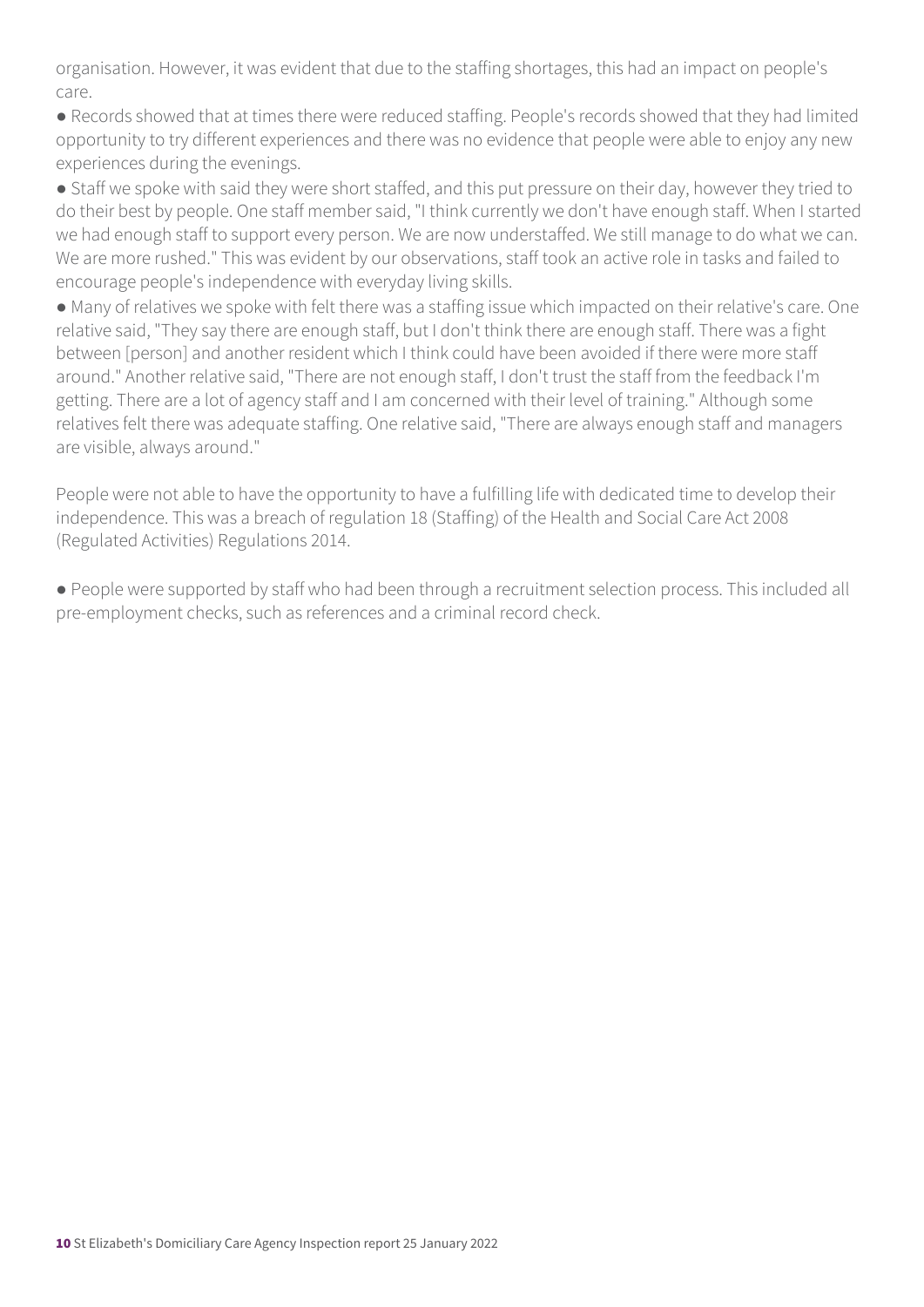organisation. However, it was evident that due to the staffing shortages, this had an impact on people's care.

● Records showed that at times there were reduced staffing. People's records showed that they had limited opportunity to try different experiences and there was no evidence that people were able to enjoy any new experiences during the evenings.

● Staff we spoke with said they were short staffed, and this put pressure on their day, however they tried to do their best by people. One staff member said, "I think currently we don't have enough staff. When I started we had enough staff to support every person. We are now understaffed. We still manage to do what we can. We are more rushed." This was evident by our observations, staff took an active role in tasks and failed to encourage people's independence with everyday living skills.

● Many of relatives we spoke with felt there was a staffing issue which impacted on their relative's care. One relative said, "They say there are enough staff, but I don't think there are enough staff. There was a fight between [person] and another resident which I think could have been avoided if there were more staff around." Another relative said, "There are not enough staff, I don't trust the staff from the feedback I'm getting. There are a lot of agency staff and I am concerned with their level of training." Although some relatives felt there was adequate staffing. One relative said, "There are always enough staff and managers are visible, always around."

People were not able to have the opportunity to have a fulfilling life with dedicated time to develop their independence. This was a breach of regulation 18 (Staffing) of the Health and Social Care Act 2008 (Regulated Activities) Regulations 2014.

● People were supported by staff who had been through a recruitment selection process. This included all pre-employment checks, such as references and a criminal record check.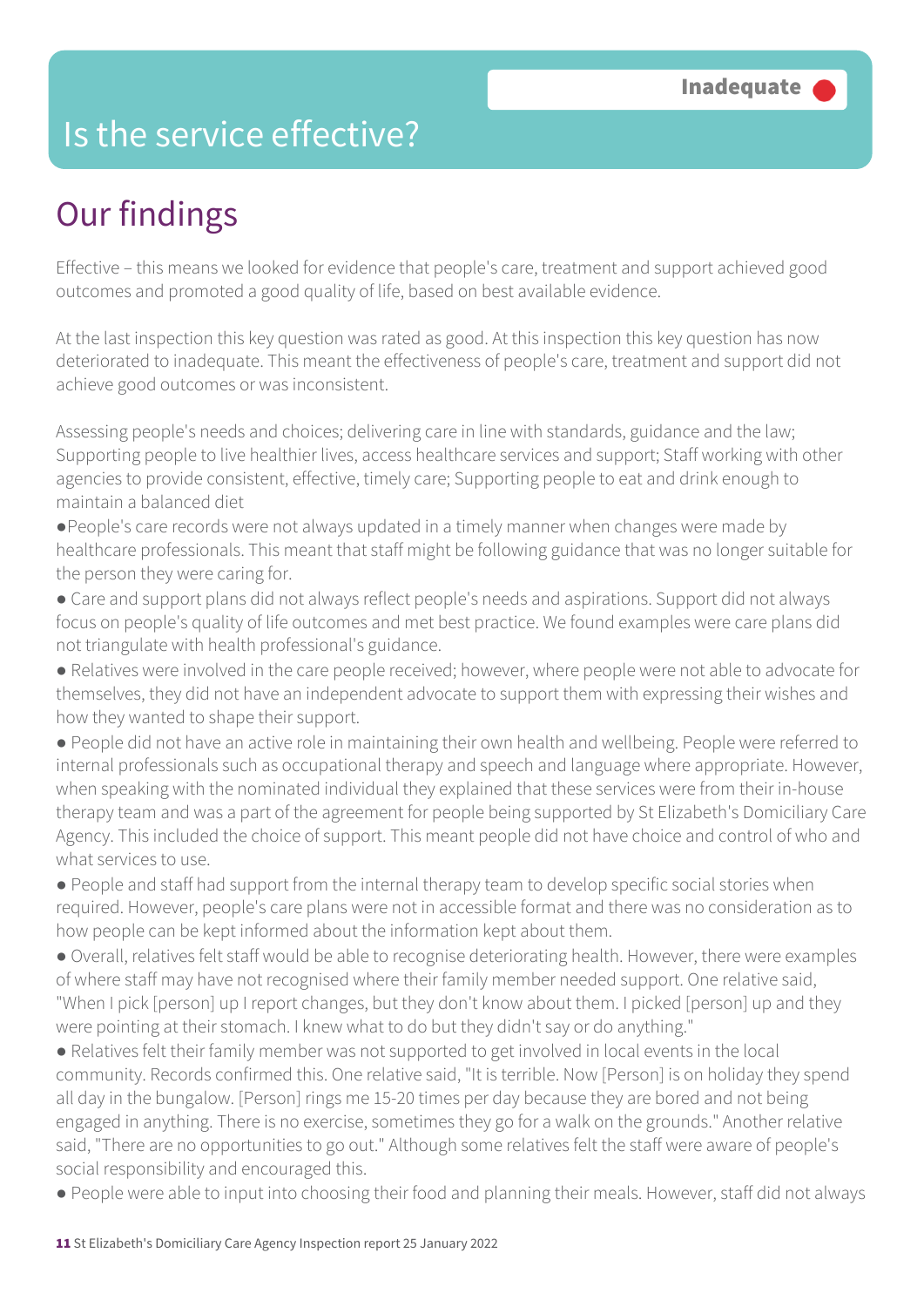### Is the service effective?

# Our findings

Effective – this means we looked for evidence that people's care, treatment and support achieved good outcomes and promoted a good quality of life, based on best available evidence.

At the last inspection this key question was rated as good. At this inspection this key question has now deteriorated to inadequate. This meant the effectiveness of people's care, treatment and support did not achieve good outcomes or was inconsistent.

Assessing people's needs and choices; delivering care in line with standards, guidance and the law; Supporting people to live healthier lives, access healthcare services and support; Staff working with other agencies to provide consistent, effective, timely care; Supporting people to eat and drink enough to maintain a balanced diet

●People's care records were not always updated in a timely manner when changes were made by healthcare professionals. This meant that staff might be following guidance that was no longer suitable for the person they were caring for.

● Care and support plans did not always reflect people's needs and aspirations. Support did not always focus on people's quality of life outcomes and met best practice. We found examples were care plans did not triangulate with health professional's guidance.

● Relatives were involved in the care people received; however, where people were not able to advocate for themselves, they did not have an independent advocate to support them with expressing their wishes and how they wanted to shape their support.

● People did not have an active role in maintaining their own health and wellbeing. People were referred to internal professionals such as occupational therapy and speech and language where appropriate. However, when speaking with the nominated individual they explained that these services were from their in-house therapy team and was a part of the agreement for people being supported by St Elizabeth's Domiciliary Care Agency. This included the choice of support. This meant people did not have choice and control of who and what services to use.

● People and staff had support from the internal therapy team to develop specific social stories when required. However, people's care plans were not in accessible format and there was no consideration as to how people can be kept informed about the information kept about them.

● Overall, relatives felt staff would be able to recognise deteriorating health. However, there were examples of where staff may have not recognised where their family member needed support. One relative said, "When I pick [person] up I report changes, but they don't know about them. I picked [person] up and they were pointing at their stomach. I knew what to do but they didn't say or do anything."

● Relatives felt their family member was not supported to get involved in local events in the local community. Records confirmed this. One relative said, "It is terrible. Now [Person] is on holiday they spend all day in the bungalow. [Person] rings me 15-20 times per day because they are bored and not being engaged in anything. There is no exercise, sometimes they go for a walk on the grounds." Another relative said, "There are no opportunities to go out." Although some relatives felt the staff were aware of people's social responsibility and encouraged this.

● People were able to input into choosing their food and planning their meals. However, staff did not always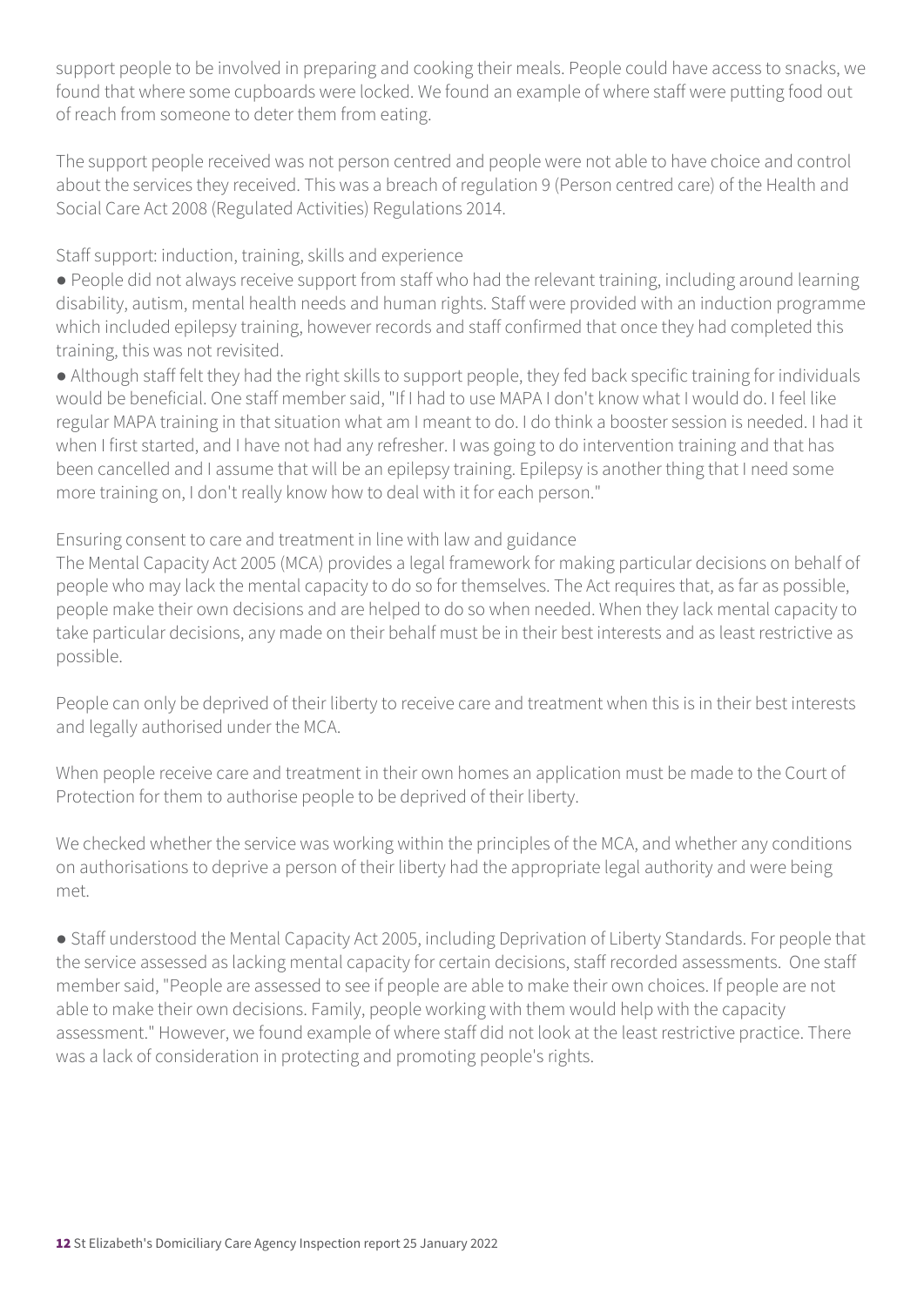support people to be involved in preparing and cooking their meals. People could have access to snacks, we found that where some cupboards were locked. We found an example of where staff were putting food out of reach from someone to deter them from eating.

The support people received was not person centred and people were not able to have choice and control about the services they received. This was a breach of regulation 9 (Person centred care) of the Health and Social Care Act 2008 (Regulated Activities) Regulations 2014.

Staff support: induction, training, skills and experience

● People did not always receive support from staff who had the relevant training, including around learning disability, autism, mental health needs and human rights. Staff were provided with an induction programme which included epilepsy training, however records and staff confirmed that once they had completed this training, this was not revisited.

● Although staff felt they had the right skills to support people, they fed back specific training for individuals would be beneficial. One staff member said, "If I had to use MAPA I don't know what I would do. I feel like regular MAPA training in that situation what am I meant to do. I do think a booster session is needed. I had it when I first started, and I have not had any refresher. I was going to do intervention training and that has been cancelled and I assume that will be an epilepsy training. Epilepsy is another thing that I need some more training on, I don't really know how to deal with it for each person."

Ensuring consent to care and treatment in line with law and guidance

The Mental Capacity Act 2005 (MCA) provides a legal framework for making particular decisions on behalf of people who may lack the mental capacity to do so for themselves. The Act requires that, as far as possible, people make their own decisions and are helped to do so when needed. When they lack mental capacity to take particular decisions, any made on their behalf must be in their best interests and as least restrictive as possible.

People can only be deprived of their liberty to receive care and treatment when this is in their best interests and legally authorised under the MCA.

When people receive care and treatment in their own homes an application must be made to the Court of Protection for them to authorise people to be deprived of their liberty.

We checked whether the service was working within the principles of the MCA, and whether any conditions on authorisations to deprive a person of their liberty had the appropriate legal authority and were being met.

● Staff understood the Mental Capacity Act 2005, including Deprivation of Liberty Standards. For people that the service assessed as lacking mental capacity for certain decisions, staff recorded assessments. One staff member said, "People are assessed to see if people are able to make their own choices. If people are not able to make their own decisions. Family, people working with them would help with the capacity assessment." However, we found example of where staff did not look at the least restrictive practice. There was a lack of consideration in protecting and promoting people's rights.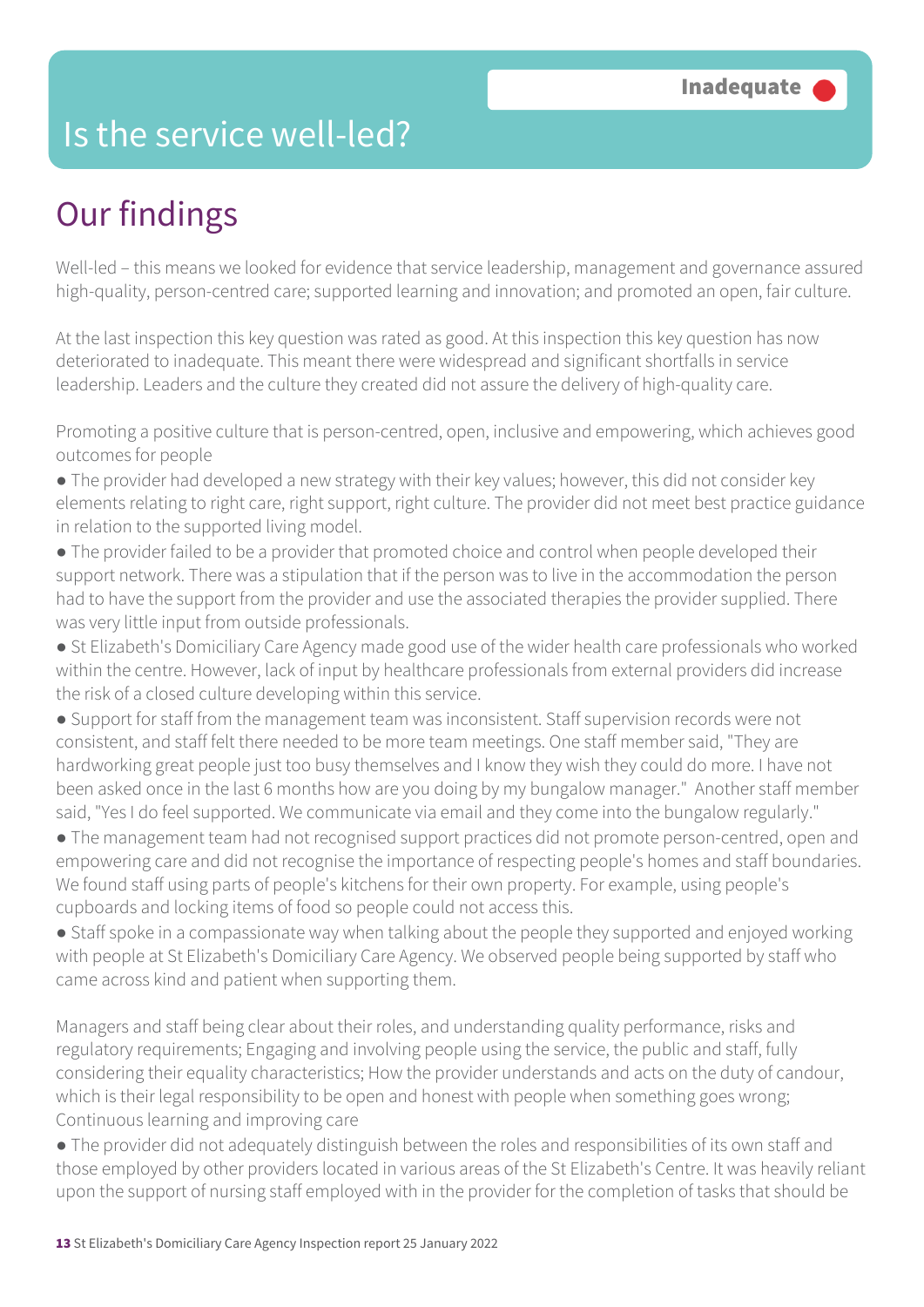### Is the service well-led?

# Our findings

Well-led – this means we looked for evidence that service leadership, management and governance assured high-quality, person-centred care; supported learning and innovation; and promoted an open, fair culture.

At the last inspection this key question was rated as good. At this inspection this key question has now deteriorated to inadequate. This meant there were widespread and significant shortfalls in service leadership. Leaders and the culture they created did not assure the delivery of high-quality care.

Promoting a positive culture that is person-centred, open, inclusive and empowering, which achieves good outcomes for people

- The provider had developed a new strategy with their key values; however, this did not consider key elements relating to right care, right support, right culture. The provider did not meet best practice guidance in relation to the supported living model.
- The provider failed to be a provider that promoted choice and control when people developed their support network. There was a stipulation that if the person was to live in the accommodation the person had to have the support from the provider and use the associated therapies the provider supplied. There was very little input from outside professionals.
- St Elizabeth's Domiciliary Care Agency made good use of the wider health care professionals who worked within the centre. However, lack of input by healthcare professionals from external providers did increase the risk of a closed culture developing within this service.
- Support for staff from the management team was inconsistent. Staff supervision records were not consistent, and staff felt there needed to be more team meetings. One staff member said, "They are hardworking great people just too busy themselves and I know they wish they could do more. I have not been asked once in the last 6 months how are you doing by my bungalow manager." Another staff member said, "Yes I do feel supported. We communicate via email and they come into the bungalow regularly."
- The management team had not recognised support practices did not promote person-centred, open and empowering care and did not recognise the importance of respecting people's homes and staff boundaries. We found staff using parts of people's kitchens for their own property. For example, using people's cupboards and locking items of food so people could not access this.
- Staff spoke in a compassionate way when talking about the people they supported and enjoyed working with people at St Elizabeth's Domiciliary Care Agency. We observed people being supported by staff who came across kind and patient when supporting them.

Managers and staff being clear about their roles, and understanding quality performance, risks and regulatory requirements; Engaging and involving people using the service, the public and staff, fully considering their equality characteristics; How the provider understands and acts on the duty of candour, which is their legal responsibility to be open and honest with people when something goes wrong; Continuous learning and improving care

● The provider did not adequately distinguish between the roles and responsibilities of its own staff and those employed by other providers located in various areas of the St Elizabeth's Centre. It was heavily reliant upon the support of nursing staff employed with in the provider for the completion of tasks that should be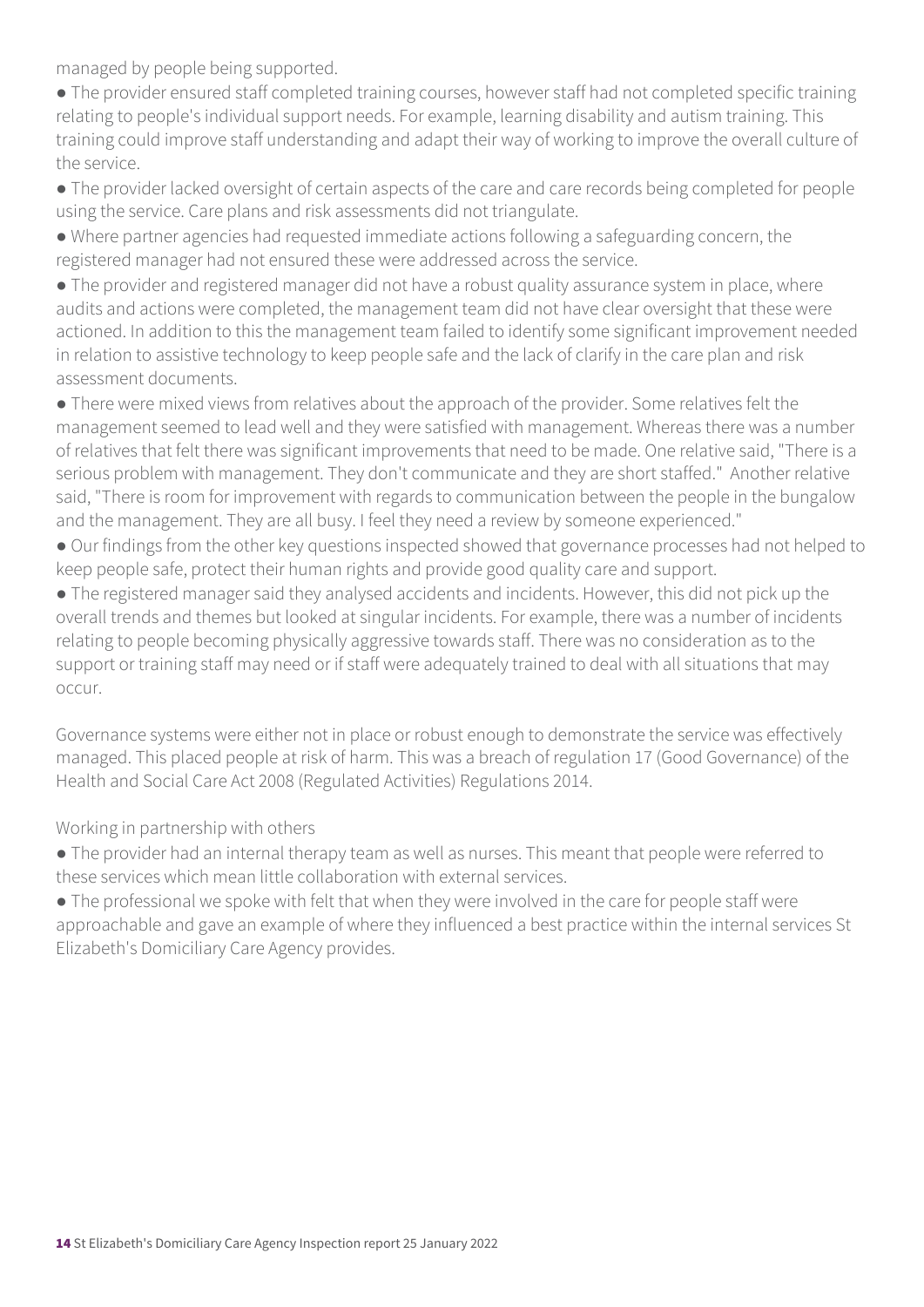managed by people being supported.

- The provider ensured staff completed training courses, however staff had not completed specific training relating to people's individual support needs. For example, learning disability and autism training. This training could improve staff understanding and adapt their way of working to improve the overall culture of the service.
- The provider lacked oversight of certain aspects of the care and care records being completed for people using the service. Care plans and risk assessments did not triangulate.
- Where partner agencies had requested immediate actions following a safeguarding concern, the registered manager had not ensured these were addressed across the service.
- The provider and registered manager did not have a robust quality assurance system in place, where audits and actions were completed, the management team did not have clear oversight that these were actioned. In addition to this the management team failed to identify some significant improvement needed in relation to assistive technology to keep people safe and the lack of clarify in the care plan and risk assessment documents.
- There were mixed views from relatives about the approach of the provider. Some relatives felt the management seemed to lead well and they were satisfied with management. Whereas there was a number of relatives that felt there was significant improvements that need to be made. One relative said, "There is a serious problem with management. They don't communicate and they are short staffed." Another relative said, "There is room for improvement with regards to communication between the people in the bungalow and the management. They are all busy. I feel they need a review by someone experienced."
- Our findings from the other key questions inspected showed that governance processes had not helped to keep people safe, protect their human rights and provide good quality care and support.
- The registered manager said they analysed accidents and incidents. However, this did not pick up the overall trends and themes but looked at singular incidents. For example, there was a number of incidents relating to people becoming physically aggressive towards staff. There was no consideration as to the support or training staff may need or if staff were adequately trained to deal with all situations that may occur.
- Governance systems were either not in place or robust enough to demonstrate the service was effectively managed. This placed people at risk of harm. This was a breach of regulation 17 (Good Governance) of the Health and Social Care Act 2008 (Regulated Activities) Regulations 2014.

Working in partnership with others

- The provider had an internal therapy team as well as nurses. This meant that people were referred to these services which mean little collaboration with external services.
- The professional we spoke with felt that when they were involved in the care for people staff were approachable and gave an example of where they influenced a best practice within the internal services St Elizabeth's Domiciliary Care Agency provides.